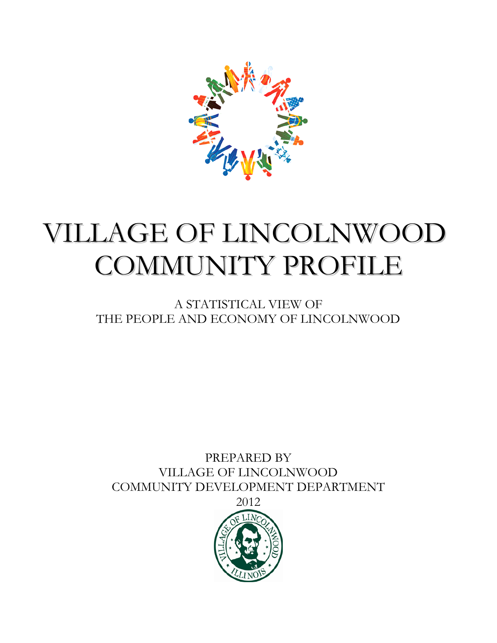

# VILLAGE OF LINCOLNWOOD COMMUNITY PROFILE

A STATISTICAL VIEW OF THE PEOPLE AND ECONOMY OF LINCOLNWOOD

PREPARED BY VILLAGE OF LINCOLNWOOD COMMUNITY DEVELOPMENT DEPARTMENT

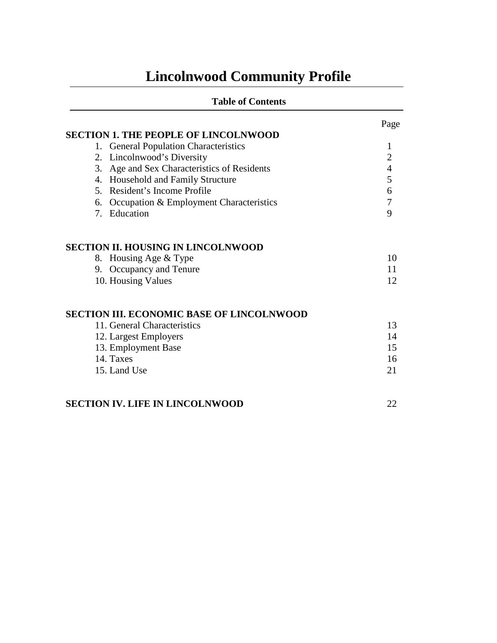# **Lincolnwood Community Profile**

| <b>Table of Contents</b>                         |                |
|--------------------------------------------------|----------------|
|                                                  | Page           |
| <b>SECTION 1. THE PEOPLE OF LINCOLNWOOD</b>      |                |
| 1. General Population Characteristics            | 1              |
| 2. Lincolnwood's Diversity                       | $\overline{2}$ |
| Age and Sex Characteristics of Residents<br>3.   | $\overline{4}$ |
| 4. Household and Family Structure                | 5              |
| 5. Resident's Income Profile                     | 6              |
| 6. Occupation & Employment Characteristics       | $\overline{7}$ |
| 7. Education                                     | 9              |
| <b>SECTION II. HOUSING IN LINCOLNWOOD</b>        |                |
| 8. Housing Age & Type                            | 10             |
| Occupancy and Tenure<br>9.                       | 11             |
| 10. Housing Values                               | 12             |
| <b>SECTION III. ECONOMIC BASE OF LINCOLNWOOD</b> |                |
| 11. General Characteristics                      | 13             |
| 12. Largest Employers                            | 14             |
| 13. Employment Base                              | 15             |
| 14. Taxes                                        | 16             |
| 15. Land Use                                     | 21             |
| <b>SECTION IV. LIFE IN LINCOLNWOOD</b>           | 22             |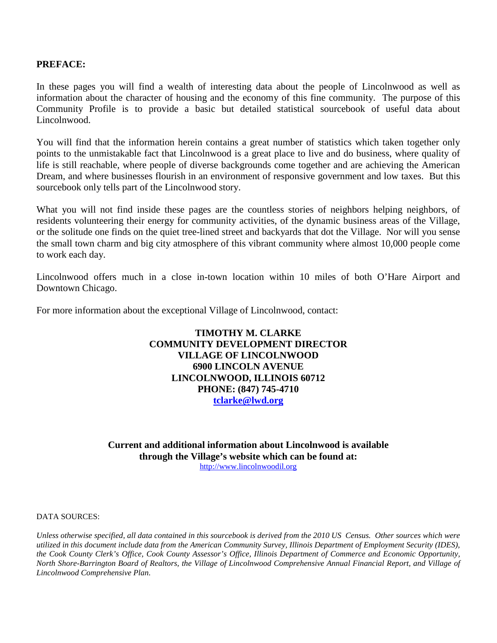#### **PREFACE:**

In these pages you will find a wealth of interesting data about the people of Lincolnwood as well as information about the character of housing and the economy of this fine community. The purpose of this Community Profile is to provide a basic but detailed statistical sourcebook of useful data about Lincolnwood.

You will find that the information herein contains a great number of statistics which taken together only points to the unmistakable fact that Lincolnwood is a great place to live and do business, where quality of life is still reachable, where people of diverse backgrounds come together and are achieving the American Dream, and where businesses flourish in an environment of responsive government and low taxes. But this sourcebook only tells part of the Lincolnwood story.

What you will not find inside these pages are the countless stories of neighbors helping neighbors, of residents volunteering their energy for community activities, of the dynamic business areas of the Village, or the solitude one finds on the quiet tree-lined street and backyards that dot the Village. Nor will you sense the small town charm and big city atmosphere of this vibrant community where almost 10,000 people come to work each day.

Lincolnwood offers much in a close in-town location within 10 miles of both O'Hare Airport and Downtown Chicago.

For more information about the exceptional Village of Lincolnwood, contact:

#### **TIMOTHY M. CLARKE COMMUNITY DEVELOPMENT DIRECTOR VILLAGE OF LINCOLNWOOD 6900 LINCOLN AVENUE LINCOLNWOOD, ILLINOIS 60712 PHONE: (847) 745-4710 [tclarke@lwd.org](mailto:tclarke@lwd.org)**

**Current and additional information about Lincolnwood is available through the Village's website which can be found at:**  [http://www.lincolnwoodil.org](http://www.lincolnwoodil.org/)

DATA SOURCES:

*Unless otherwise specified, all data contained in this sourcebook is derived from the 2010 US Census. Other sources which were utilized in this document include data from the American Community Survey, Illinois Department of Employment Security (IDES), the Cook County Clerk's Office, Cook County Assessor's Office, Illinois Department of Commerce and Economic Opportunity, North Shore-Barrington Board of Realtors, the Village of Lincolnwood Comprehensive Annual Financial Report, and Village of Lincolnwood Comprehensive Plan.*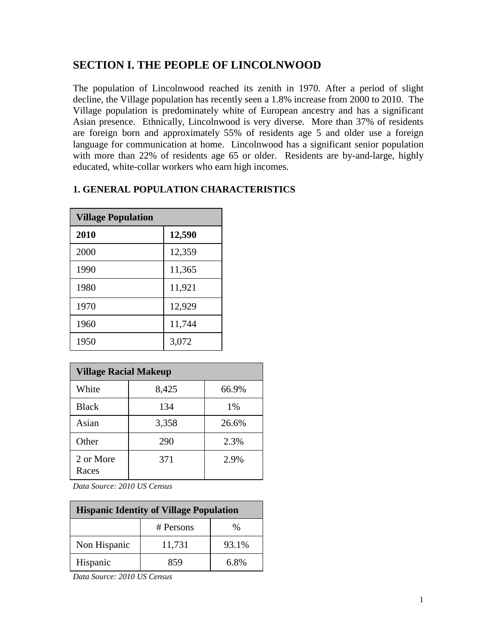# **SECTION I. THE PEOPLE OF LINCOLNWOOD**

The population of Lincolnwood reached its zenith in 1970. After a period of slight decline, the Village population has recently seen a 1.8% increase from 2000 to 2010. The Village population is predominately white of European ancestry and has a significant Asian presence. Ethnically, Lincolnwood is very diverse. More than 37% of residents are foreign born and approximately 55% of residents age 5 and older use a foreign language for communication at home. Lincolnwood has a significant senior population with more than 22% of residents age 65 or older. Residents are by-and-large, highly educated, white-collar workers who earn high incomes.

|  |  |  | <b>1. GENERAL POPULATION CHARACTERISTICS</b> |
|--|--|--|----------------------------------------------|
|--|--|--|----------------------------------------------|

| <b>Village Population</b> |        |  |
|---------------------------|--------|--|
| 2010                      | 12,590 |  |
| 2000                      | 12,359 |  |
| 1990                      | 11,365 |  |
| 1980                      | 11,921 |  |
| 1970                      | 12,929 |  |
| 1960                      | 11,744 |  |
| 1950                      | 3,072  |  |

| <b>Village Racial Makeup</b> |       |       |
|------------------------------|-------|-------|
| White                        | 8,425 | 66.9% |
| <b>Black</b>                 | 134   | 1%    |
| Asian                        | 3,358 | 26.6% |
| Other                        | 290   | 2.3%  |
| 2 or More<br>Races           | 371   | 2.9%  |

*Data Source: 2010 US Census*

| <b>Hispanic Identity of Village Population</b> |           |       |
|------------------------------------------------|-----------|-------|
|                                                | # Persons | $\%$  |
| Non Hispanic                                   | 11,731    | 93.1% |
| Hispanic                                       | 859       | 6.8%  |

*Data Source: 2010 US Census*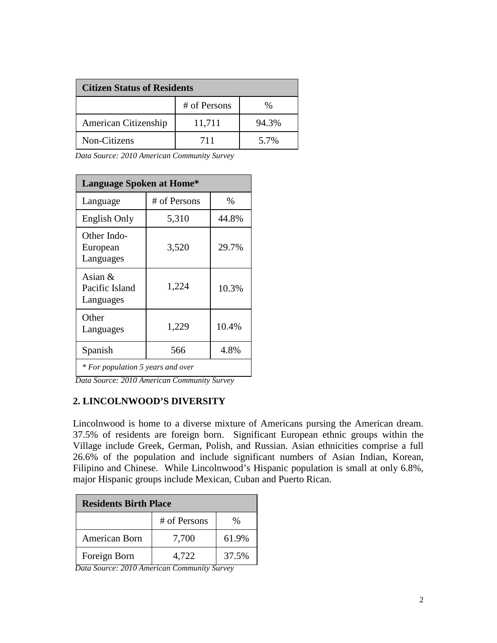| <b>Citizen Status of Residents</b> |              |       |
|------------------------------------|--------------|-------|
|                                    | # of Persons | %     |
| American Citizenship               | 11,711       | 94.3% |
| Non-Citizens                       | 711          | 5.7%  |

*Data Source: 2010 American Community Survey*

| <b>Language Spoken at Home*</b>          |              |       |
|------------------------------------------|--------------|-------|
| Language                                 | # of Persons | $\%$  |
| English Only                             | 5,310        | 44.8% |
| Other Indo-<br>European<br>Languages     | 3,520        | 29.7% |
| Asian $&$<br>Pacific Island<br>Languages | 1,224        | 10.3% |
| Other<br>Languages                       | 1,229        | 10.4% |
| Spanish                                  | 566          | 4.8%  |
| * For population 5 years and over        |              |       |

*Data Source: 2010 American Community Survey*

# **2. LINCOLNWOOD'S DIVERSITY**

Lincolnwood is home to a diverse mixture of Americans pursing the American dream. 37.5% of residents are foreign born. Significant European ethnic groups within the Village include Greek, German, Polish, and Russian. Asian ethnicities comprise a full 26.6% of the population and include significant numbers of Asian Indian, Korean, Filipino and Chinese. While Lincolnwood's Hispanic population is small at only 6.8%, major Hispanic groups include Mexican, Cuban and Puerto Rican.

| <b>Residents Birth Place</b> |              |       |
|------------------------------|--------------|-------|
|                              | # of Persons | $\%$  |
| American Born                | 7,700        | 61.9% |
| Foreign Born                 | 4.722        | 37.5% |

*Data Source: 2010 American Community Survey*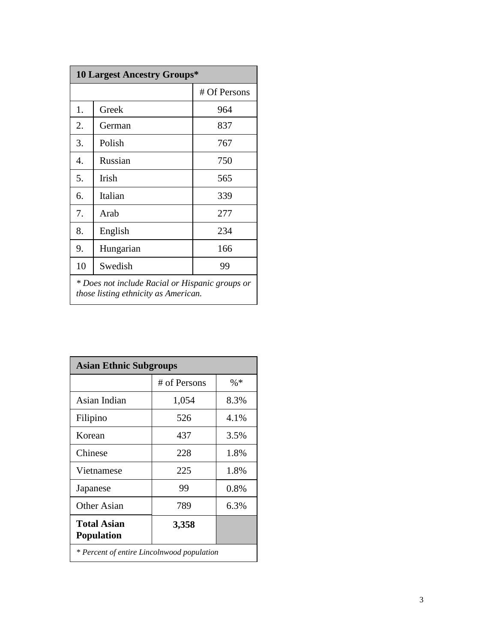| <b>10 Largest Ancestry Groups*</b>              |              |              |
|-------------------------------------------------|--------------|--------------|
|                                                 |              | # Of Persons |
| 1.                                              | Greek        | 964          |
| 2.                                              | German       | 837          |
| 3.                                              | Polish       | 767          |
| 4.                                              | Russian      | 750          |
| 5.                                              | <b>Irish</b> | 565          |
| 6.                                              | Italian      | 339          |
| 7.                                              | Arab         | 277          |
| 8.                                              | English      | 234          |
| 9.                                              | Hungarian    | 166          |
| 10                                              | Swedish      | 99           |
| * Does not include Racial or Hispanic groups or |              |              |

*those listing ethnicity as American.*

| <b>Asian Ethnic Subgroups</b>              |              |        |
|--------------------------------------------|--------------|--------|
|                                            | # of Persons | $\% *$ |
| Asian Indian                               | 1,054        | 8.3%   |
| Filipino                                   | 526          | 4.1%   |
| Korean                                     | 437          | 3.5%   |
| Chinese                                    | 228          | 1.8%   |
| Vietnamese                                 | 225          | 1.8%   |
| Japanese                                   | 99           | 0.8%   |
| <b>Other Asian</b>                         | 789          | 6.3%   |
| <b>Total Asian</b><br><b>Population</b>    | 3,358        |        |
| * Percent of entire Lincolnwood population |              |        |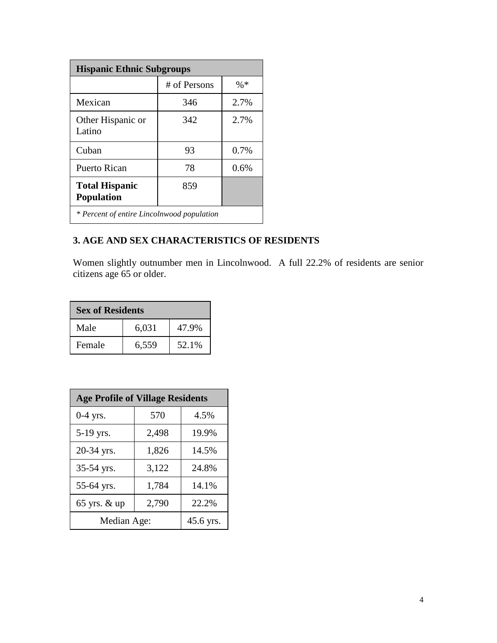| <b>Hispanic Ethnic Subgroups</b>           |              |         |
|--------------------------------------------|--------------|---------|
|                                            | # of Persons | $\% *$  |
| Mexican                                    | 346          | 2.7%    |
| Other Hispanic or<br>Latino                | 342          | 2.7%    |
| Cuban                                      | 93           | $0.7\%$ |
| Puerto Rican                               | 78           | $0.6\%$ |
| <b>Total Hispanic</b><br><b>Population</b> | 859          |         |
| * Percent of entire Lincolnwood population |              |         |

# **3. AGE AND SEX CHARACTERISTICS OF RESIDENTS**

Women slightly outnumber men in Lincolnwood. A full 22.2% of residents are senior citizens age 65 or older.

| <b>Sex of Residents</b> |       |       |
|-------------------------|-------|-------|
| Male                    | 6,031 | 47.9% |
| Female                  | 6,559 | 52.1% |

| <b>Age Profile of Village Residents</b> |       |           |  |
|-----------------------------------------|-------|-----------|--|
| $0-4$ yrs.                              | 570   | 4.5%      |  |
| 5-19 yrs.                               | 2,498 | 19.9%     |  |
| 20-34 yrs.                              | 1,826 | 14.5%     |  |
| 35-54 yrs.                              | 3,122 | 24.8%     |  |
| 55-64 yrs.                              | 1,784 | 14.1%     |  |
| 65 yrs. & up                            | 2,790 | 22.2%     |  |
| Median Age:                             |       | 45.6 yrs. |  |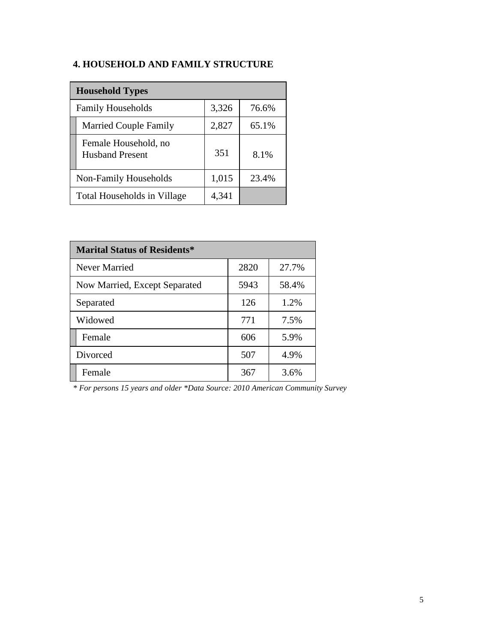# **4. HOUSEHOLD AND FAMILY STRUCTURE**

| <b>Household Types</b>                         |       |       |  |
|------------------------------------------------|-------|-------|--|
| <b>Family Households</b>                       | 3,326 | 76.6% |  |
| <b>Married Couple Family</b>                   | 2,827 | 65.1% |  |
| Female Household, no<br><b>Husband Present</b> | 351   | 8.1%  |  |
| Non-Family Households                          | 1,015 | 23.4% |  |
| Total Households in Village                    | 4,341 |       |  |

| <b>Marital Status of Residents*</b> |      |       |  |
|-------------------------------------|------|-------|--|
| Never Married                       | 2820 | 27.7% |  |
| Now Married, Except Separated       | 5943 | 58.4% |  |
| Separated                           | 126  | 1.2%  |  |
| Widowed                             | 771  | 7.5%  |  |
| Female                              | 606  | 5.9%  |  |
| Divorced                            | 507  | 4.9%  |  |
| Female                              | 367  | 3.6%  |  |

*\* For persons 15 years and older \*Data Source: 2010 American Community Survey*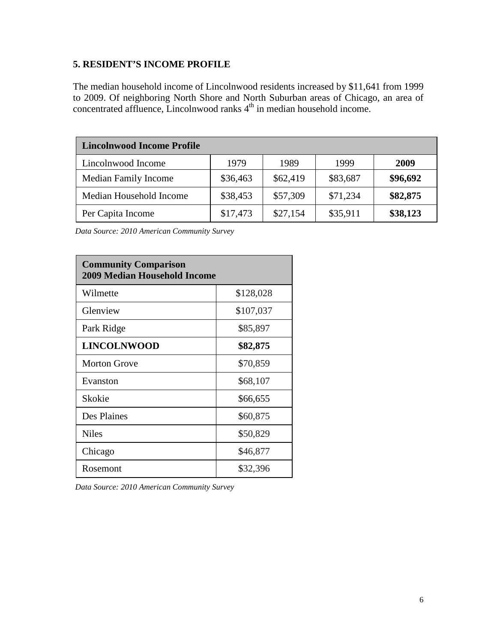# **5. RESIDENT'S INCOME PROFILE**

The median household income of Lincolnwood residents increased by \$11,641 from 1999 to 2009. Of neighboring North Shore and North Suburban areas of Chicago, an area of concentrated affluence, Lincolnwood ranks  $4<sup>th</sup>$  in median household income.

| <b>Lincolnwood Income Profile</b> |          |          |          |          |
|-----------------------------------|----------|----------|----------|----------|
| Lincolnwood Income                | 1979     | 1989     | 1999     | 2009     |
| <b>Median Family Income</b>       | \$36,463 | \$62,419 | \$83,687 | \$96,692 |
| Median Household Income           | \$38,453 | \$57,309 | \$71,234 | \$82,875 |
| Per Capita Income                 | \$17,473 | \$27,154 | \$35,911 | \$38,123 |

*Data Source: 2010 American Community Survey*

| <b>Community Comparison</b><br><b>2009 Median Household Income</b> |           |  |  |
|--------------------------------------------------------------------|-----------|--|--|
| Wilmette                                                           | \$128,028 |  |  |
| Glenview                                                           | \$107,037 |  |  |
| Park Ridge                                                         | \$85,897  |  |  |
| <b>LINCOLNWOOD</b>                                                 | \$82,875  |  |  |
| <b>Morton Grove</b>                                                | \$70,859  |  |  |
| Evanston                                                           | \$68,107  |  |  |
| Skokie                                                             | \$66,655  |  |  |
| Des Plaines                                                        | \$60,875  |  |  |
| <b>Niles</b>                                                       | \$50,829  |  |  |
| Chicago                                                            | \$46,877  |  |  |
| Rosemont                                                           | \$32,396  |  |  |

*Data Source: 2010 American Community Survey*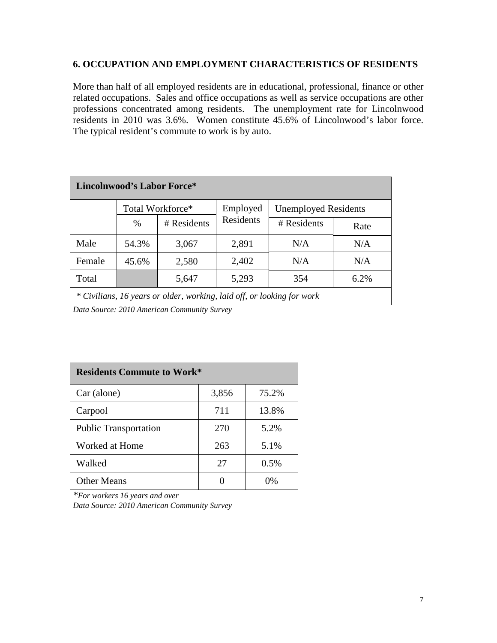#### **6. OCCUPATION AND EMPLOYMENT CHARACTERISTICS OF RESIDENTS**

More than half of all employed residents are in educational, professional, finance or other related occupations. Sales and office occupations as well as service occupations are other professions concentrated among residents. The unemployment rate for Lincolnwood residents in 2010 was 3.6%. Women constitute 45.6% of Lincolnwood's labor force. The typical resident's commute to work is by auto.

| <b>Lincolnwood's Labor Force*</b>                                      |                                                             |             |           |             |      |
|------------------------------------------------------------------------|-------------------------------------------------------------|-------------|-----------|-------------|------|
|                                                                        | Total Workforce*<br>Employed<br><b>Unemployed Residents</b> |             |           |             |      |
|                                                                        | $\%$                                                        | # Residents | Residents | # Residents | Rate |
| Male                                                                   | 54.3%                                                       | 3,067       | 2,891     | N/A         | N/A  |
| Female                                                                 | 45.6%                                                       | 2,580       | 2,402     | N/A         | N/A  |
| Total                                                                  |                                                             | 5,647       | 5,293     | 354         | 6.2% |
| * Civilians, 16 years or older, working, laid off, or looking for work |                                                             |             |           |             |      |

*Data Source: 2010 American Community Survey*

| <b>Residents Commute to Work*</b> |       |       |  |
|-----------------------------------|-------|-------|--|
| Car (alone)                       | 3,856 | 75.2% |  |
| Carpool                           | 711   | 13.8% |  |
| <b>Public Transportation</b>      | 270   | 5.2%  |  |
| Worked at Home                    | 263   | 5.1%  |  |
| Walked                            | 27    | 0.5%  |  |
| <b>Other Means</b>                |       | 0%    |  |

*\*For workers 16 years and over Data Source: 2010 American Community Survey*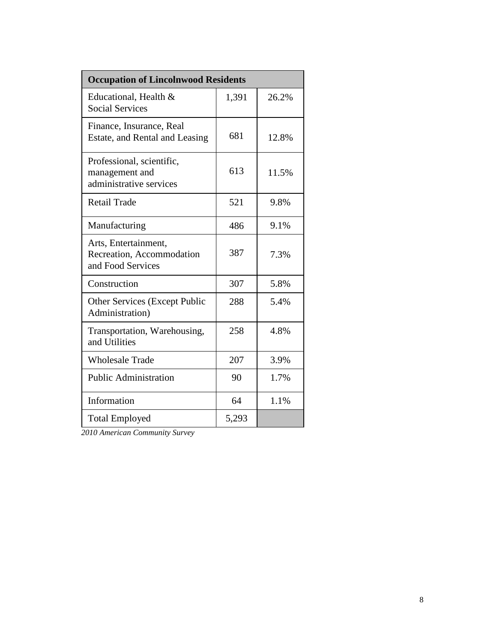| <b>Occupation of Lincolnwood Residents</b>                             |       |       |  |
|------------------------------------------------------------------------|-------|-------|--|
| Educational, Health &<br><b>Social Services</b>                        | 1,391 | 26.2% |  |
| Finance, Insurance, Real<br>Estate, and Rental and Leasing             | 681   | 12.8% |  |
| Professional, scientific,<br>management and<br>administrative services | 613   | 11.5% |  |
| <b>Retail Trade</b>                                                    | 521   | 9.8%  |  |
| Manufacturing                                                          | 486   | 9.1%  |  |
| Arts, Entertainment,<br>Recreation, Accommodation<br>and Food Services | 387   | 7.3%  |  |
| Construction                                                           | 307   | 5.8%  |  |
| <b>Other Services (Except Public</b><br>Administration)                | 288   | 5.4%  |  |
| Transportation, Warehousing,<br>and Utilities                          | 258   | 4.8%  |  |
| <b>Wholesale Trade</b>                                                 | 207   | 3.9%  |  |
| <b>Public Administration</b>                                           | 90    | 1.7%  |  |
| Information                                                            | 64    | 1.1%  |  |
| <b>Total Employed</b>                                                  | 5,293 |       |  |

*2010 American Community Survey*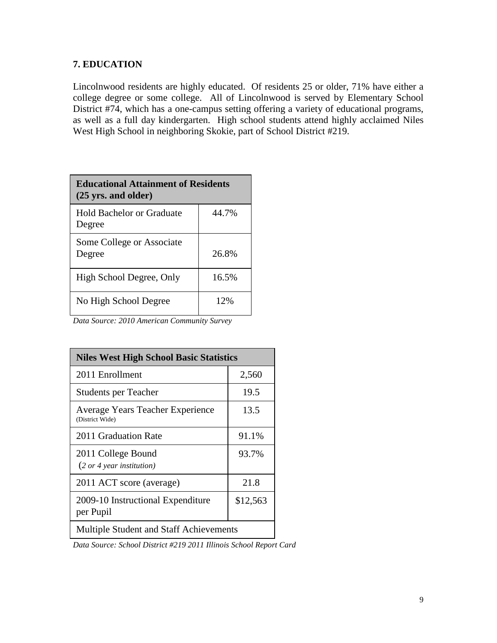# **7. EDUCATION**

Lincolnwood residents are highly educated. Of residents 25 or older, 71% have either a college degree or some college. All of Lincolnwood is served by Elementary School District #74, which has a one-campus setting offering a variety of educational programs, as well as a full day kindergarten. High school students attend highly acclaimed Niles West High School in neighboring Skokie, part of School District #219.

| <b>Educational Attainment of Residents</b><br>$(25 \text{ yrs.}$ and older) |       |  |
|-----------------------------------------------------------------------------|-------|--|
| <b>Hold Bachelor or Graduate</b><br>Degree                                  | 44.7% |  |
| Some College or Associate<br>Degree                                         | 26.8% |  |
| High School Degree, Only                                                    | 16.5% |  |
| No High School Degree                                                       | 12%   |  |

*Data Source: 2010 American Community Survey*

| <b>Niles West High School Basic Statistics</b>                      |          |  |
|---------------------------------------------------------------------|----------|--|
| 2011 Enrollment                                                     | 2,560    |  |
| <b>Students per Teacher</b>                                         | 19.5     |  |
| Average Years Teacher Experience<br>(District Wide)                 | 13.5     |  |
| 2011 Graduation Rate                                                | 91.1%    |  |
| 2011 College Bound<br>$(2 \text{ or } 4 \text{ year }$ institution) | 93.7%    |  |
| 2011 ACT score (average)                                            | 21.8     |  |
| 2009-10 Instructional Expenditure<br>per Pupil                      | \$12,563 |  |
| Multiple Student and Staff Achievements                             |          |  |

*Data Source: School District #219 2011 Illinois School Report Card*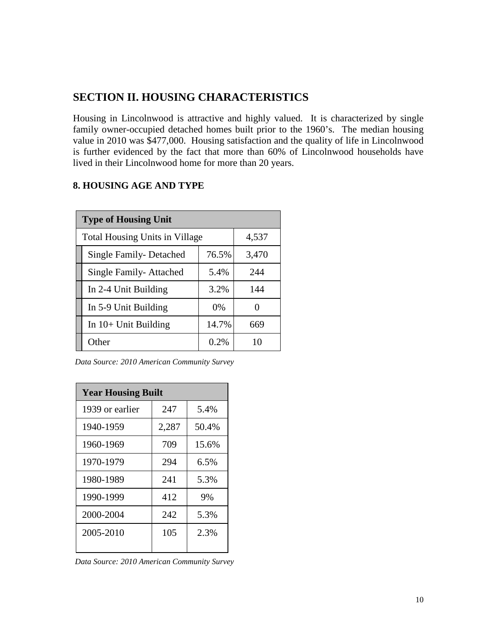# **SECTION II. HOUSING CHARACTERISTICS**

Housing in Lincolnwood is attractive and highly valued. It is characterized by single family owner-occupied detached homes built prior to the 1960's. The median housing value in 2010 was \$477,000. Housing satisfaction and the quality of life in Lincolnwood is further evidenced by the fact that more than 60% of Lincolnwood households have lived in their Lincolnwood home for more than 20 years.

# **8. HOUSING AGE AND TYPE**

| <b>Type of Housing Unit</b>           |       |                   |  |
|---------------------------------------|-------|-------------------|--|
| <b>Total Housing Units in Village</b> | 4,537 |                   |  |
| Single Family-Detached                | 76.5% | 3,470             |  |
| Single Family-Attached                | 5.4%  | 244               |  |
| In 2-4 Unit Building                  | 3.2%  | 144               |  |
| In 5-9 Unit Building                  | $0\%$ | $\mathbf{\Omega}$ |  |
| In $10+$ Unit Building                | 14.7% | 669               |  |
| Other                                 | 0.2%  | 10                |  |

*Data Source: 2010 American Community Survey*

| <b>Year Housing Built</b> |       |       |  |
|---------------------------|-------|-------|--|
| 1939 or earlier           | 247   | 5.4%  |  |
| 1940-1959                 | 2,287 | 50.4% |  |
| 1960-1969                 | 709   | 15.6% |  |
| 1970-1979                 | 294   | 6.5%  |  |
| 1980-1989                 | 241   | 5.3%  |  |
| 1990-1999                 | 412   | 9%    |  |
| 2000-2004                 | 242   | 5.3%  |  |
| 2005-2010                 | 105   | 2.3%  |  |
|                           |       |       |  |

*Data Source: 2010 American Community Survey*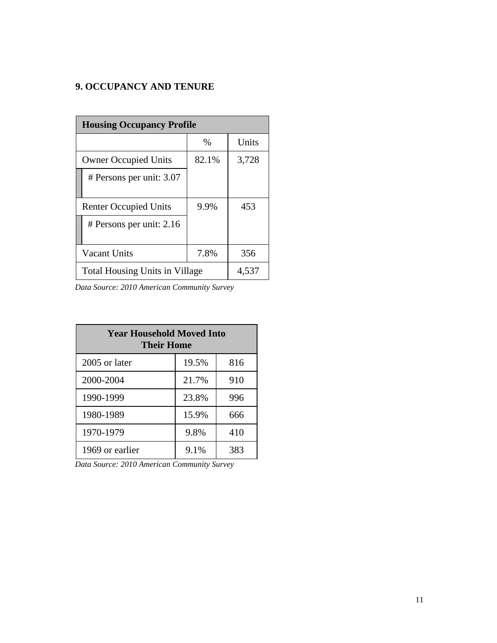# **9. OCCUPANCY AND TENURE**

| <b>Housing Occupancy Profile</b>      |               |       |
|---------------------------------------|---------------|-------|
|                                       | $\frac{0}{0}$ | Units |
| <b>Owner Occupied Units</b>           | 82.1%         | 3,728 |
| # Persons per unit: 3.07              |               |       |
| <b>Renter Occupied Units</b>          | 9.9%          | 453   |
| # Persons per unit: $2.16$            |               |       |
| <b>Vacant Units</b>                   | 7.8%          | 356   |
| <b>Total Housing Units in Village</b> | 4,537         |       |

*Data Source: 2010 American Community Survey*

| <b>Year Household Moved Into</b><br>Their Home |       |     |
|------------------------------------------------|-------|-----|
| 2005 or later                                  | 19.5% | 816 |
| 2000-2004                                      | 21.7% | 910 |
| 1990-1999                                      | 23.8% | 996 |
| 1980-1989                                      | 15.9% | 666 |
| 1970-1979                                      | 9.8%  | 410 |
| 1969 or earlier                                | 9.1%  | 383 |

*Data Source: 2010 American Community Survey*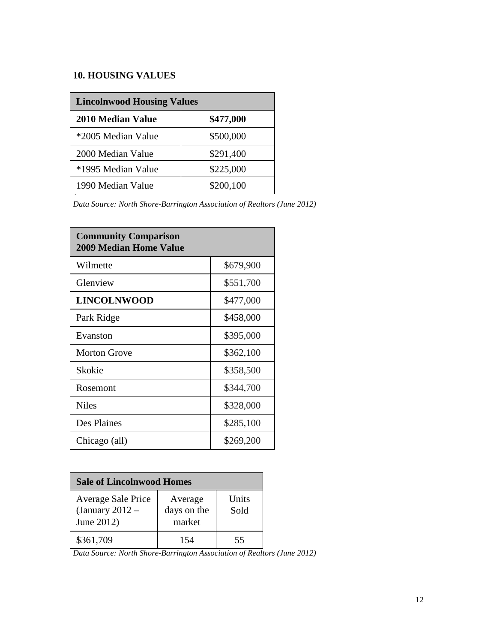# **10. HOUSING VALUES**

| <b>Lincolnwood Housing Values</b> |           |  |
|-----------------------------------|-----------|--|
| <b>2010 Median Value</b>          | \$477,000 |  |
| *2005 Median Value                | \$500,000 |  |
| 2000 Median Value                 | \$291,400 |  |
| *1995 Median Value                | \$225,000 |  |
| \$200,100<br>1990 Median Value    |           |  |

*Data Source: North Shore-Barrington Association of Realtors (June 2012)*

| <b>Community Comparison</b><br><b>2009 Median Home Value</b> |           |  |
|--------------------------------------------------------------|-----------|--|
| Wilmette                                                     | \$679,900 |  |
| Glenview                                                     | \$551,700 |  |
| <b>LINCOLNWOOD</b>                                           | \$477,000 |  |
| Park Ridge                                                   | \$458,000 |  |
| Evanston                                                     | \$395,000 |  |
| <b>Morton Grove</b>                                          | \$362,100 |  |
| Skokie                                                       | \$358,500 |  |
| Rosemont                                                     | \$344,700 |  |
| <b>Niles</b>                                                 | \$328,000 |  |
| Des Plaines                                                  | \$285,100 |  |
| Chicago (all)                                                | \$269,200 |  |

| <b>Sale of Lincolnwood Homes</b>                                                                                  |  |  |
|-------------------------------------------------------------------------------------------------------------------|--|--|
| Units<br><b>Average Sale Price</b><br>Average<br>days on the<br>(January $2012 -$<br>Sold<br>market<br>June 2012) |  |  |
| \$361,709<br>154<br>55                                                                                            |  |  |

*Data Source: North Shore-Barrington Association of Realtors (June 2012)*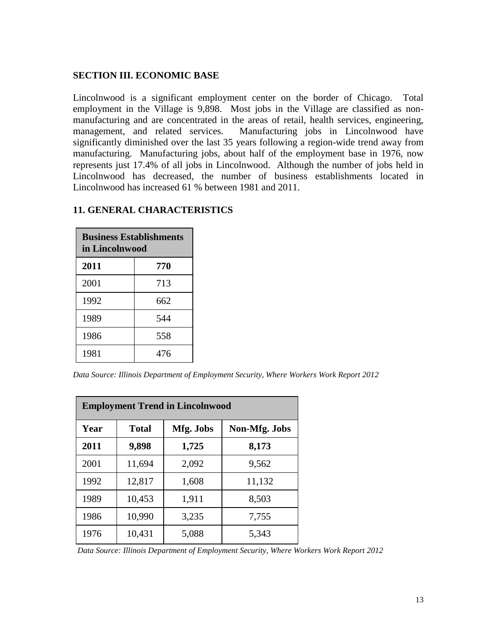#### **SECTION III. ECONOMIC BASE**

Lincolnwood is a significant employment center on the border of Chicago. Total employment in the Village is 9,898. Most jobs in the Village are classified as nonmanufacturing and are concentrated in the areas of retail, health services, engineering, management, and related services. Manufacturing jobs in Lincolnwood have significantly diminished over the last 35 years following a region-wide trend away from manufacturing. Manufacturing jobs, about half of the employment base in 1976, now represents just 17.4% of all jobs in Lincolnwood. Although the number of jobs held in Lincolnwood has decreased, the number of business establishments located in Lincolnwood has increased 61 % between 1981 and 2011.

| <b>Business Establishments</b><br>in Lincolnwood |     |  |
|--------------------------------------------------|-----|--|
| 2011<br>770                                      |     |  |
| 2001                                             | 713 |  |
| 1992                                             | 662 |  |
| 1989<br>544                                      |     |  |
| 1986<br>558                                      |     |  |
| 1981                                             | 476 |  |

#### **11. GENERAL CHARACTERISTICS**

*Data Source: Illinois Department of Employment Security, Where Workers Work Report 2012*

| <b>Employment Trend in Lincolnwood</b> |              |           |               |
|----------------------------------------|--------------|-----------|---------------|
| Year                                   | <b>Total</b> | Mfg. Jobs | Non-Mfg. Jobs |
| 2011                                   | 9,898        | 1,725     | 8,173         |
| 2001                                   | 11,694       | 2,092     | 9,562         |
| 1992                                   | 12,817       | 1,608     | 11,132        |
| 1989                                   | 10,453       | 1,911     | 8,503         |
| 1986                                   | 10,990       | 3,235     | 7,755         |
| 1976                                   | 10,431       | 5,088     | 5,343         |

*Data Source: Illinois Department of Employment Security, Where Workers Work Report 2012*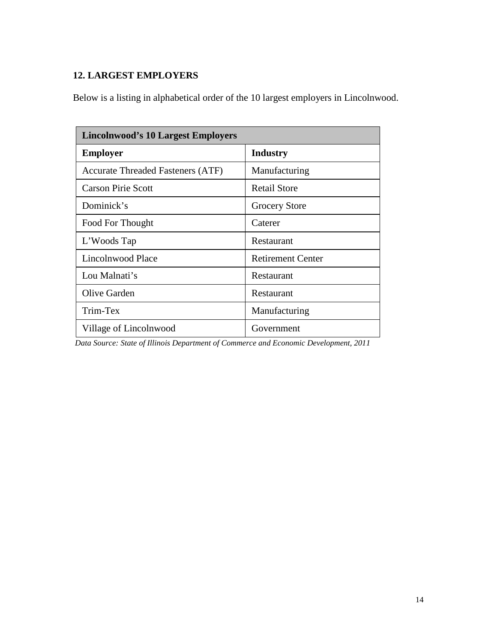# **12. LARGEST EMPLOYERS**

Below is a listing in alphabetical order of the 10 largest employers in Lincolnwood.

| <b>Lincolnwood's 10 Largest Employers</b> |                          |  |
|-------------------------------------------|--------------------------|--|
| <b>Employer</b>                           | <b>Industry</b>          |  |
| <b>Accurate Threaded Fasteners (ATF)</b>  | Manufacturing            |  |
| <b>Carson Pirie Scott</b>                 | <b>Retail Store</b>      |  |
| Dominick's                                | Grocery Store            |  |
| Food For Thought                          | Caterer                  |  |
| L'Woods Tap                               | Restaurant               |  |
| Lincolnwood Place                         | <b>Retirement Center</b> |  |
| Lou Malnati's                             | Restaurant               |  |
| Olive Garden                              | Restaurant               |  |
| Trim-Tex                                  | Manufacturing            |  |
| Village of Lincolnwood                    | Government               |  |

*Data Source: State of Illinois Department of Commerce and Economic Development, 2011*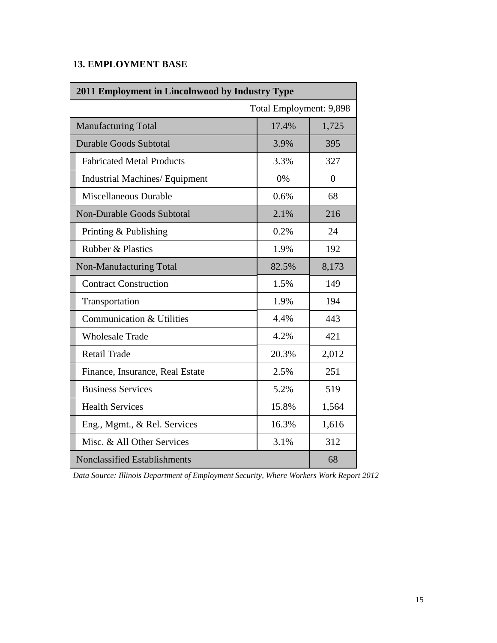# **13. EMPLOYMENT BASE**

| 2011 Employment in Lincolnwood by Industry Type |       |                |
|-------------------------------------------------|-------|----------------|
| Total Employment: 9,898                         |       |                |
| 17.4%<br>1,725<br><b>Manufacturing Total</b>    |       |                |
| <b>Durable Goods Subtotal</b>                   | 3.9%  | 395            |
| <b>Fabricated Metal Products</b>                | 3.3%  | 327            |
| <b>Industrial Machines/ Equipment</b>           | 0%    | $\overline{0}$ |
| Miscellaneous Durable                           | 0.6%  | 68             |
| <b>Non-Durable Goods Subtotal</b>               | 2.1%  | 216            |
| Printing & Publishing                           | 0.2%  | 24             |
| <b>Rubber &amp; Plastics</b><br>1.9%            |       | 192            |
| Non-Manufacturing Total                         | 82.5% | 8,173          |
| <b>Contract Construction</b>                    | 1.5%  | 149            |
| Transportation                                  | 1.9%  | 194            |
| Communication & Utilities                       | 4.4%  | 443            |
| <b>Wholesale Trade</b>                          | 4.2%  | 421            |
| <b>Retail Trade</b>                             | 20.3% | 2,012          |
| Finance, Insurance, Real Estate                 | 2.5%  | 251            |
| <b>Business Services</b>                        | 5.2%  | 519            |
| <b>Health Services</b><br>15.8%                 |       | 1,564          |
| Eng., Mgmt., & Rel. Services                    | 16.3% | 1,616          |
| Misc. & All Other Services<br>3.1%              |       | 312            |
| Nonclassified Establishments                    | 68    |                |

*Data Source: Illinois Department of Employment Security, Where Workers Work Report 2012*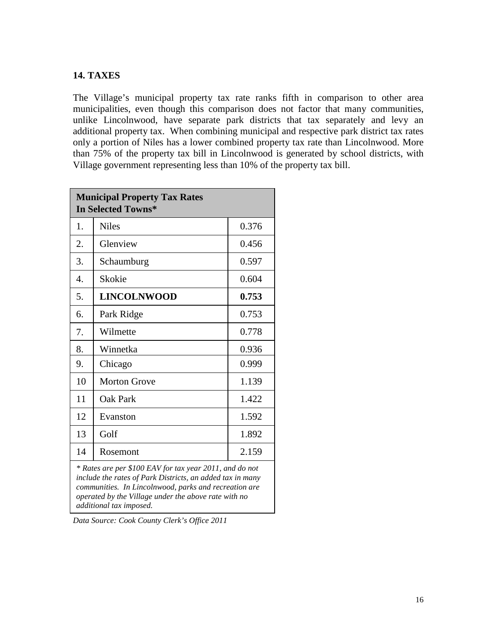#### **14. TAXES**

The Village's municipal property tax rate ranks fifth in comparison to other area municipalities, even though this comparison does not factor that many communities, unlike Lincolnwood, have separate park districts that tax separately and levy an additional property tax. When combining municipal and respective park district tax rates only a portion of Niles has a lower combined property tax rate than Lincolnwood. More than 75% of the property tax bill in Lincolnwood is generated by school districts, with Village government representing less than 10% of the property tax bill.

| <b>Municipal Property Tax Rates</b><br><b>In Selected Towns*</b>                                                                                                                                                                                                                   |                     |       |
|------------------------------------------------------------------------------------------------------------------------------------------------------------------------------------------------------------------------------------------------------------------------------------|---------------------|-------|
| 1.                                                                                                                                                                                                                                                                                 | <b>Niles</b>        | 0.376 |
| 2.                                                                                                                                                                                                                                                                                 | Glenview            | 0.456 |
| 3.                                                                                                                                                                                                                                                                                 | Schaumburg          | 0.597 |
| 4.                                                                                                                                                                                                                                                                                 | Skokie              | 0.604 |
| 5.                                                                                                                                                                                                                                                                                 | <b>LINCOLNWOOD</b>  | 0.753 |
| 6.                                                                                                                                                                                                                                                                                 | Park Ridge          | 0.753 |
| 7.                                                                                                                                                                                                                                                                                 | Wilmette            | 0.778 |
| 8.                                                                                                                                                                                                                                                                                 | Winnetka            | 0.936 |
| 9.                                                                                                                                                                                                                                                                                 | Chicago             | 0.999 |
| 10                                                                                                                                                                                                                                                                                 | <b>Morton Grove</b> | 1.139 |
| 11                                                                                                                                                                                                                                                                                 | Oak Park            | 1.422 |
| 12                                                                                                                                                                                                                                                                                 | Evanston            | 1.592 |
| 13                                                                                                                                                                                                                                                                                 | Golf                | 1.892 |
| 14                                                                                                                                                                                                                                                                                 | Rosemont            | 2.159 |
| * Rates are per \$100 EAV for tax year 2011, and do not<br>include the rates of Park Districts, an added tax in many<br>communities. In Lincolnwood, parks and recreation are<br>$\overline{J}$ in the set of $\overline{J}$ is a set of $\overline{J}$ is a set of $\overline{J}$ |                     |       |

*operated by the Village under the above rate with no additional tax imposed.* 

*Data Source: Cook County Clerk's Office 2011*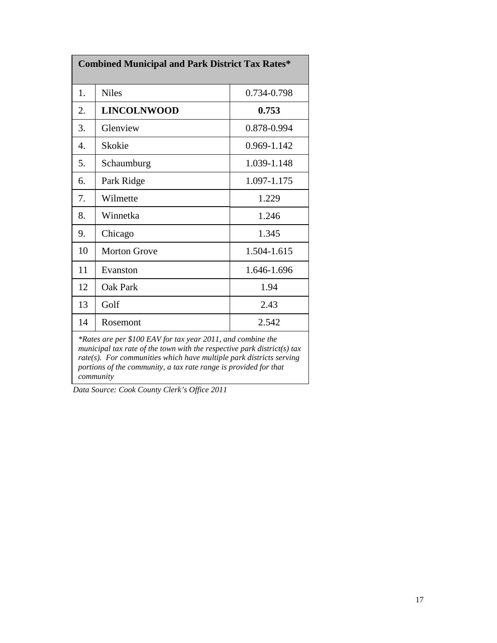| <b>Combined Municipal and Park District Tax Rates*</b>                                                                                                                                                                                                                                            |                     |             |
|---------------------------------------------------------------------------------------------------------------------------------------------------------------------------------------------------------------------------------------------------------------------------------------------------|---------------------|-------------|
| 1.                                                                                                                                                                                                                                                                                                | <b>Niles</b>        | 0.734-0.798 |
| 2.                                                                                                                                                                                                                                                                                                | <b>LINCOLNWOOD</b>  | 0.753       |
| 3.                                                                                                                                                                                                                                                                                                | Glenview            | 0.878-0.994 |
| $\overline{4}$ .                                                                                                                                                                                                                                                                                  | Skokie              | 0.969-1.142 |
| 5.                                                                                                                                                                                                                                                                                                | Schaumburg          | 1.039-1.148 |
| 6.                                                                                                                                                                                                                                                                                                | Park Ridge          | 1.097-1.175 |
| 7.                                                                                                                                                                                                                                                                                                | Wilmette            | 1.229       |
| 8.                                                                                                                                                                                                                                                                                                | Winnetka            | 1.246       |
| 9.                                                                                                                                                                                                                                                                                                | Chicago             | 1.345       |
| 10                                                                                                                                                                                                                                                                                                | <b>Morton Grove</b> | 1.504-1.615 |
| 11                                                                                                                                                                                                                                                                                                | Evanston            | 1.646-1.696 |
| 12                                                                                                                                                                                                                                                                                                | Oak Park            | 1.94        |
| 13                                                                                                                                                                                                                                                                                                | Golf                | 2.43        |
| 14                                                                                                                                                                                                                                                                                                | Rosemont            | 2.542       |
| *Rates are per \$100 EAV for tax year 2011, and combine the<br>municipal tax rate of the town with the respective park district(s) tax<br>$rate(s)$ . For communities which have multiple park districts serving<br>portions of the community, a tax rate range is provided for that<br>community |                     |             |

*Data Source: Cook County Clerk's Office 2011*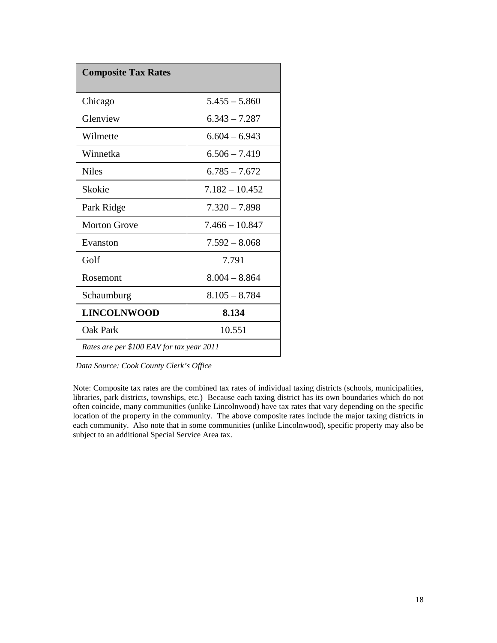| <b>Composite Tax Rates</b>                |                  |  |
|-------------------------------------------|------------------|--|
| Chicago                                   | $5.455 - 5.860$  |  |
| Glenview                                  | $6.343 - 7.287$  |  |
| Wilmette                                  | $6.604 - 6.943$  |  |
| Winnetka                                  | $6.506 - 7.419$  |  |
| <b>Niles</b>                              | $6.785 - 7.672$  |  |
| Skokie                                    | $7.182 - 10.452$ |  |
| Park Ridge                                | $7.320 - 7.898$  |  |
| <b>Morton Grove</b>                       | $7.466 - 10.847$ |  |
| Evanston                                  | $7.592 - 8.068$  |  |
| Golf                                      | 7.791            |  |
| Rosemont                                  | $8.004 - 8.864$  |  |
| Schaumburg                                | $8.105 - 8.784$  |  |
| <b>LINCOLNWOOD</b>                        | 8.134            |  |
| Oak Park                                  | 10.551           |  |
| Rates are per \$100 EAV for tax year 2011 |                  |  |

*Data Source: Cook County Clerk's Office*

Note: Composite tax rates are the combined tax rates of individual taxing districts (schools, municipalities, libraries, park districts, townships, etc.) Because each taxing district has its own boundaries which do not often coincide, many communities (unlike Lincolnwood) have tax rates that vary depending on the specific location of the property in the community. The above composite rates include the major taxing districts in each community. Also note that in some communities (unlike Lincolnwood), specific property may also be subject to an additional Special Service Area tax.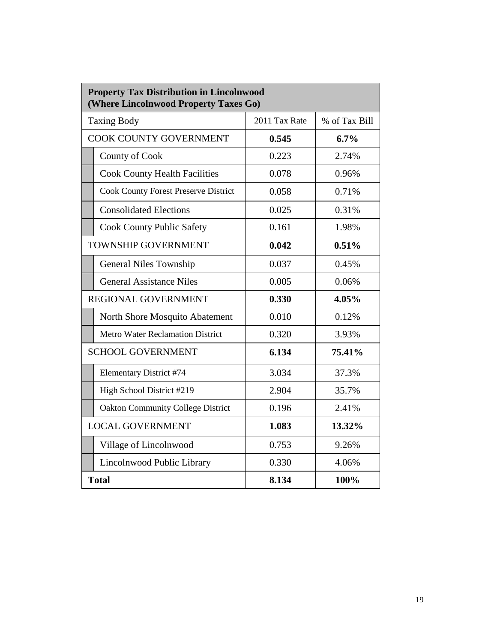| <b>Property Tax Distribution in Lincolnwood</b><br>(Where Lincolnwood Property Taxes Go) |               |               |  |  |
|------------------------------------------------------------------------------------------|---------------|---------------|--|--|
| <b>Taxing Body</b>                                                                       | 2011 Tax Rate | % of Tax Bill |  |  |
| <b>COOK COUNTY GOVERNMENT</b>                                                            | 0.545         | 6.7%          |  |  |
| County of Cook                                                                           | 0.223         | 2.74%         |  |  |
| <b>Cook County Health Facilities</b>                                                     | 0.078         | 0.96%         |  |  |
| <b>Cook County Forest Preserve District</b>                                              | 0.058         | 0.71%         |  |  |
| <b>Consolidated Elections</b>                                                            | 0.025         | 0.31%         |  |  |
| <b>Cook County Public Safety</b>                                                         | 0.161         | 1.98%         |  |  |
| <b>TOWNSHIP GOVERNMENT</b>                                                               | 0.042         | 0.51%         |  |  |
| <b>General Niles Township</b>                                                            | 0.037         | 0.45%         |  |  |
| <b>General Assistance Niles</b>                                                          | 0.005         | 0.06%         |  |  |
| REGIONAL GOVERNMENT                                                                      | 0.330         | 4.05%         |  |  |
| North Shore Mosquito Abatement                                                           | 0.010         | 0.12%         |  |  |
| <b>Metro Water Reclamation District</b>                                                  | 0.320         | 3.93%         |  |  |
| <b>SCHOOL GOVERNMENT</b>                                                                 | 6.134         | 75.41%        |  |  |
| <b>Elementary District #74</b>                                                           | 3.034         | 37.3%         |  |  |
| High School District #219                                                                | 2.904         | 35.7%         |  |  |
| <b>Oakton Community College District</b>                                                 | 0.196         | 2.41%         |  |  |
| <b>LOCAL GOVERNMENT</b>                                                                  | 1.083         | 13.32%        |  |  |
| Village of Lincolnwood                                                                   | 0.753         | 9.26%         |  |  |
| Lincolnwood Public Library                                                               | 0.330         | 4.06%         |  |  |
| <b>Total</b>                                                                             | 8.134         | 100%          |  |  |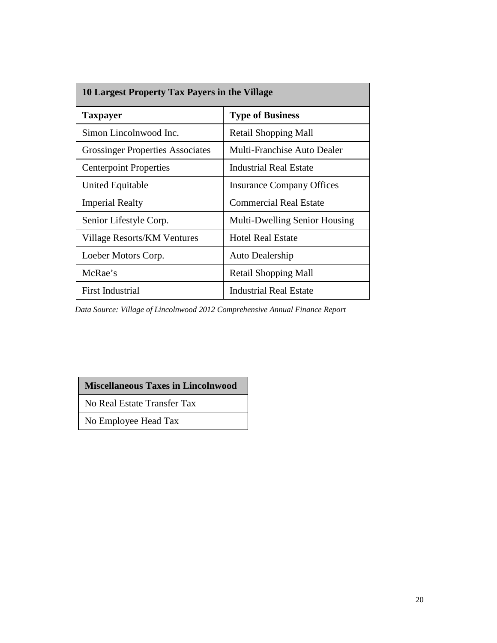| 10 Largest Property Tax Payers in the Village |                                      |  |  |
|-----------------------------------------------|--------------------------------------|--|--|
| <b>Taxpayer</b>                               | <b>Type of Business</b>              |  |  |
| Simon Lincolnwood Inc.                        | Retail Shopping Mall                 |  |  |
| <b>Grossinger Properties Associates</b>       | Multi-Franchise Auto Dealer          |  |  |
| <b>Centerpoint Properties</b>                 | Industrial Real Estate               |  |  |
| <b>United Equitable</b>                       | <b>Insurance Company Offices</b>     |  |  |
| <b>Imperial Realty</b>                        | <b>Commercial Real Estate</b>        |  |  |
| Senior Lifestyle Corp.                        | <b>Multi-Dwelling Senior Housing</b> |  |  |
| Village Resorts/KM Ventures                   | <b>Hotel Real Estate</b>             |  |  |
| Loeber Motors Corp.                           | Auto Dealership                      |  |  |
| McRae's                                       | Retail Shopping Mall                 |  |  |
| <b>First Industrial</b>                       | <b>Industrial Real Estate</b>        |  |  |

*Data Source: Village of Lincolnwood 2012 Comprehensive Annual Finance Report*

# **Miscellaneous Taxes in Lincolnwood**

No Real Estate Transfer Tax

No Employee Head Tax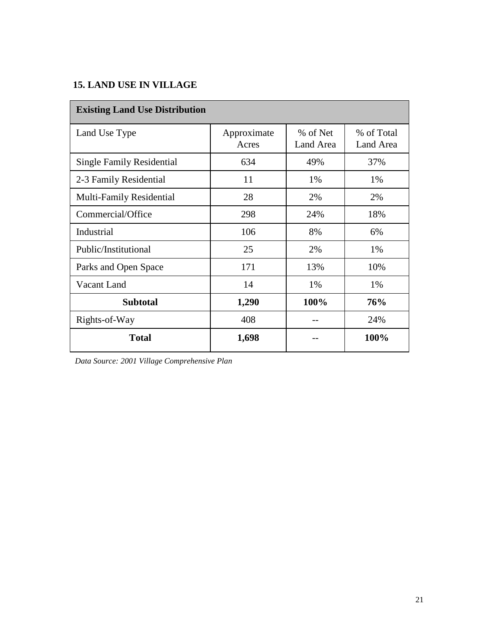# **15. LAND USE IN VILLAGE**

| <b>Existing Land Use Distribution</b> |                      |                       |                         |  |
|---------------------------------------|----------------------|-----------------------|-------------------------|--|
| Land Use Type                         | Approximate<br>Acres | % of Net<br>Land Area | % of Total<br>Land Area |  |
| <b>Single Family Residential</b>      | 634                  | 49%                   | 37%                     |  |
| 2-3 Family Residential                | 11                   | 1%                    | 1%                      |  |
| Multi-Family Residential              | 28                   | 2%                    | 2%                      |  |
| Commercial/Office                     | 298                  | 24%                   | 18%                     |  |
| Industrial                            | 106                  | 8%                    | 6%                      |  |
| Public/Institutional                  | 25                   | 2%                    | 1%                      |  |
| Parks and Open Space                  | 171                  | 13%                   | 10%                     |  |
| Vacant Land                           | 14                   | 1%                    | 1%                      |  |
| <b>Subtotal</b>                       | 1,290                | 100%                  | 76%                     |  |
| Rights-of-Way                         | 408                  |                       | 24%                     |  |
| <b>Total</b>                          | 1,698                |                       | 100%                    |  |

*Data Source: 2001 Village Comprehensive Plan*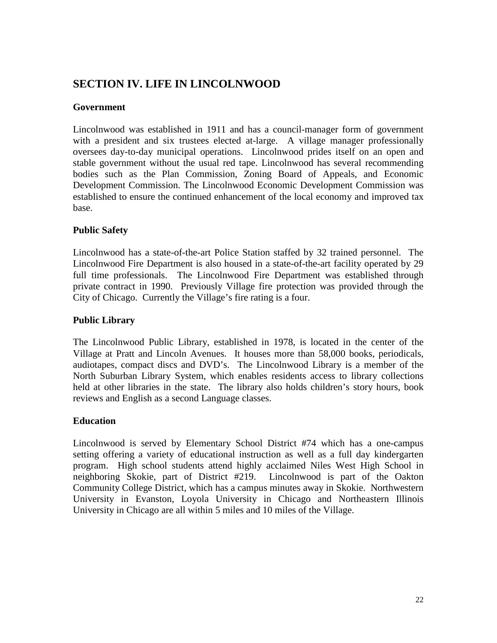# **SECTION IV. LIFE IN LINCOLNWOOD**

# **Government**

Lincolnwood was established in 1911 and has a council-manager form of government with a president and six trustees elected at-large. A village manager professionally oversees day-to-day municipal operations. Lincolnwood prides itself on an open and stable government without the usual red tape. Lincolnwood has several recommending bodies such as the Plan Commission, Zoning Board of Appeals, and Economic Development Commission. The Lincolnwood Economic Development Commission was established to ensure the continued enhancement of the local economy and improved tax base.

# **Public Safety**

Lincolnwood has a state-of-the-art Police Station staffed by 32 trained personnel. The Lincolnwood Fire Department is also housed in a state-of-the-art facility operated by 29 full time professionals. The Lincolnwood Fire Department was established through private contract in 1990. Previously Village fire protection was provided through the City of Chicago. Currently the Village's fire rating is a four.

# **Public Library**

The Lincolnwood Public Library, established in 1978, is located in the center of the Village at Pratt and Lincoln Avenues. It houses more than 58,000 books, periodicals, audiotapes, compact discs and DVD's. The Lincolnwood Library is a member of the North Suburban Library System, which enables residents access to library collections held at other libraries in the state. The library also holds children's story hours, book reviews and English as a second Language classes.

# **Education**

Lincolnwood is served by Elementary School District #74 which has a one-campus setting offering a variety of educational instruction as well as a full day kindergarten program. High school students attend highly acclaimed Niles West High School in neighboring Skokie, part of District #219. Lincolnwood is part of the Oakton Community College District, which has a campus minutes away in Skokie. Northwestern University in Evanston, Loyola University in Chicago and Northeastern Illinois University in Chicago are all within 5 miles and 10 miles of the Village.